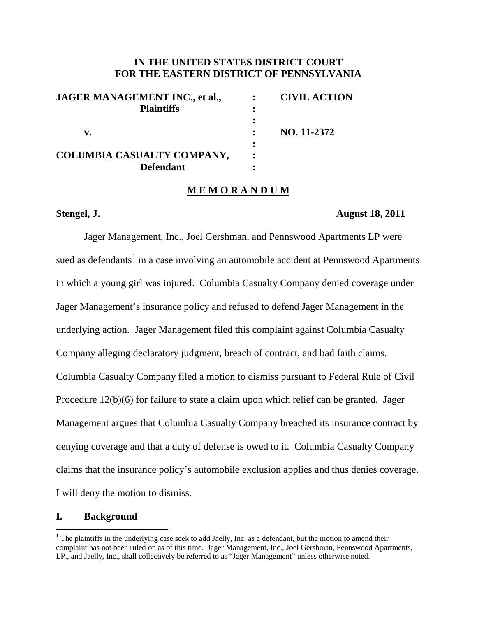## **IN THE UNITED STATES DISTRICT COURT FOR THE EASTERN DISTRICT OF PENNSYLVANIA**

| <b>JAGER MANAGEMENT INC., et al.,</b> | <b>CIVIL ACTION</b> |
|---------------------------------------|---------------------|
| <b>Plaintiffs</b>                     |                     |
|                                       |                     |
| v.                                    | NO. 11-2372         |
|                                       |                     |
| COLUMBIA CASUALTY COMPANY,            |                     |
| <b>Defendant</b>                      |                     |

#### **M E M O R A N D U M**

#### **Stengel, J. August 18, 2011**

Jager Management, Inc., Joel Gershman, and Pennswood Apartments LP were sued as defendants<sup>[1](#page-0-0)</sup> in a case involving an automobile accident at Pennswood Apartments in which a young girl was injured. Columbia Casualty Company denied coverage under Jager Management's insurance policy and refused to defend Jager Management in the underlying action. Jager Management filed this complaint against Columbia Casualty Company alleging declaratory judgment, breach of contract, and bad faith claims. Columbia Casualty Company filed a motion to dismiss pursuant to Federal Rule of Civil Procedure 12(b)(6) for failure to state a claim upon which relief can be granted. Jager Management argues that Columbia Casualty Company breached its insurance contract by denying coverage and that a duty of defense is owed to it. Columbia Casualty Company claims that the insurance policy's automobile exclusion applies and thus denies coverage. I will deny the motion to dismiss.

### **I. Background**

<span id="page-0-0"></span> $<sup>1</sup>$  The plaintiffs in the underlying case seek to add Jaelly, Inc. as a defendant, but the motion to amend their</sup> complaint has not been ruled on as of this time. Jager Management, Inc., Joel Gershman, Pennswood Apartments, LP., and Jaelly, Inc., shall collectively be referred to as "Jager Management" unless otherwise noted.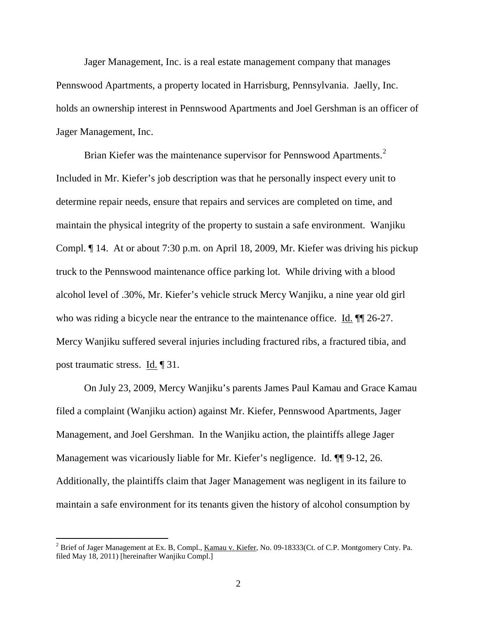Jager Management, Inc. is a real estate management company that manages Pennswood Apartments, a property located in Harrisburg, Pennsylvania. Jaelly, Inc. holds an ownership interest in Pennswood Apartments and Joel Gershman is an officer of Jager Management, Inc.

Brian Kiefer was the maintenance supervisor for Pennswood Apartments.<sup>[2](#page-1-0)</sup> Included in Mr. Kiefer's job description was that he personally inspect every unit to determine repair needs, ensure that repairs and services are completed on time, and maintain the physical integrity of the property to sustain a safe environment. Wanjiku Compl. ¶ 14. At or about 7:30 p.m. on April 18, 2009, Mr. Kiefer was driving his pickup truck to the Pennswood maintenance office parking lot. While driving with a blood alcohol level of .30%, Mr. Kiefer's vehicle struck Mercy Wanjiku, a nine year old girl who was riding a bicycle near the entrance to the maintenance office. Id.  $\P$  26-27. Mercy Wanjiku suffered several injuries including fractured ribs, a fractured tibia, and post traumatic stress. Id. ¶ 31.

On July 23, 2009, Mercy Wanjiku's parents James Paul Kamau and Grace Kamau filed a complaint (Wanjiku action) against Mr. Kiefer, Pennswood Apartments, Jager Management, and Joel Gershman. In the Wanjiku action, the plaintiffs allege Jager Management was vicariously liable for Mr. Kiefer's negligence. Id. ¶¶ 9-12, 26. Additionally, the plaintiffs claim that Jager Management was negligent in its failure to maintain a safe environment for its tenants given the history of alcohol consumption by

<span id="page-1-0"></span><sup>&</sup>lt;sup>2</sup> Brief of Jager Management at Ex. B, Compl., Kamau v. Kiefer, No. 09-18333(Ct. of C.P. Montgomery Cnty. Pa. filed May 18, 2011) [hereinafter Wanjiku Compl.]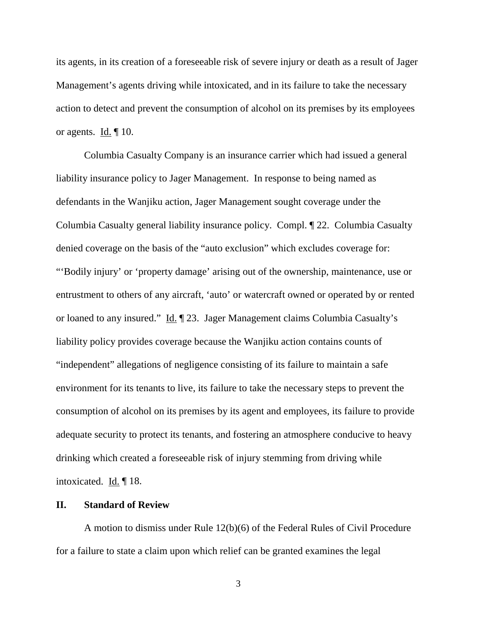its agents, in its creation of a foreseeable risk of severe injury or death as a result of Jager Management's agents driving while intoxicated, and in its failure to take the necessary action to detect and prevent the consumption of alcohol on its premises by its employees or agents. Id. ¶ 10.

Columbia Casualty Company is an insurance carrier which had issued a general liability insurance policy to Jager Management. In response to being named as defendants in the Wanjiku action, Jager Management sought coverage under the Columbia Casualty general liability insurance policy. Compl. ¶ 22. Columbia Casualty denied coverage on the basis of the "auto exclusion" which excludes coverage for: "'Bodily injury' or 'property damage' arising out of the ownership, maintenance, use or entrustment to others of any aircraft, 'auto' or watercraft owned or operated by or rented or loaned to any insured." Id. ¶ 23. Jager Management claims Columbia Casualty's liability policy provides coverage because the Wanjiku action contains counts of "independent" allegations of negligence consisting of its failure to maintain a safe environment for its tenants to live, its failure to take the necessary steps to prevent the consumption of alcohol on its premises by its agent and employees, its failure to provide adequate security to protect its tenants, and fostering an atmosphere conducive to heavy drinking which created a foreseeable risk of injury stemming from driving while intoxicated. Id. ¶ 18.

### **II. Standard of Review**

A motion to dismiss under Rule 12(b)(6) of the Federal Rules of Civil Procedure for a failure to state a claim upon which relief can be granted examines the legal

3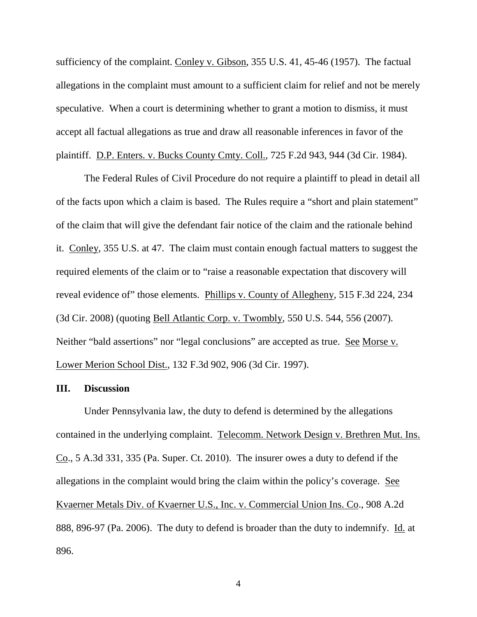sufficiency of the complaint. Conley v. Gibson, 355 U.S. 41, 45-46 (1957). The factual allegations in the complaint must amount to a sufficient claim for relief and not be merely speculative. When a court is determining whether to grant a motion to dismiss, it must accept all factual allegations as true and draw all reasonable inferences in favor of the plaintiff. D.P. Enters. v. Bucks County Cmty. Coll., 725 F.2d 943, 944 (3d Cir. 1984).

The Federal Rules of Civil Procedure do not require a plaintiff to plead in detail all of the facts upon which a claim is based. The Rules require a "short and plain statement" of the claim that will give the defendant fair notice of the claim and the rationale behind it. Conley, 355 U.S. at 47. The claim must contain enough factual matters to suggest the required elements of the claim or to "raise a reasonable expectation that discovery will reveal evidence of" those elements. Phillips v. County of Allegheny, 515 F.3d 224, 234 (3d Cir. 2008) (quoting Bell Atlantic Corp. v. Twombly, 550 U.S. 544, 556 (2007). Neither "bald assertions" nor "legal conclusions" are accepted as true. See Morse v. Lower Merion School Dist., 132 F.3d 902, 906 (3d Cir. 1997).

#### **III. Discussion**

Under Pennsylvania law, the duty to defend is determined by the allegations contained in the underlying complaint. Telecomm. Network Design v. Brethren Mut. Ins. Co., 5 A.3d 331, 335 (Pa. Super. Ct. 2010). The insurer owes a duty to defend if the allegations in the complaint would bring the claim within the policy's coverage. See Kvaerner Metals Div. of Kvaerner U.S., Inc. v. Commercial Union Ins. Co., 908 A.2d 888, 896-97 (Pa. 2006). The duty to defend is broader than the duty to indemnify. Id. at 896.

4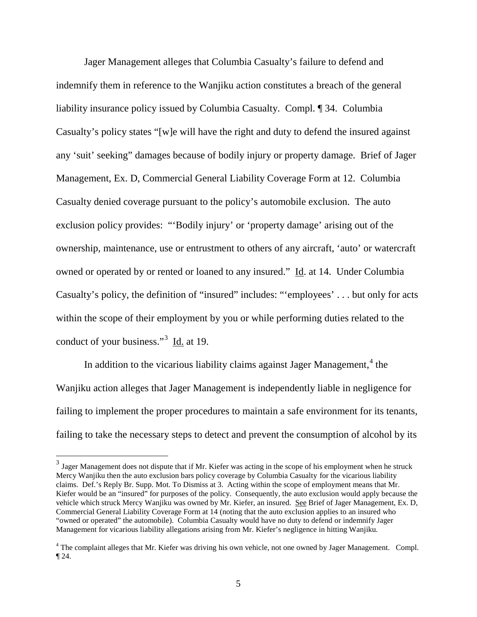Jager Management alleges that Columbia Casualty's failure to defend and indemnify them in reference to the Wanjiku action constitutes a breach of the general liability insurance policy issued by Columbia Casualty. Compl. ¶ 34. Columbia Casualty's policy states "[w]e will have the right and duty to defend the insured against any 'suit' seeking" damages because of bodily injury or property damage. Brief of Jager Management, Ex. D, Commercial General Liability Coverage Form at 12. Columbia Casualty denied coverage pursuant to the policy's automobile exclusion. The auto exclusion policy provides: "'Bodily injury' or 'property damage' arising out of the ownership, maintenance, use or entrustment to others of any aircraft, 'auto' or watercraft owned or operated by or rented or loaned to any insured." Id. at 14. Under Columbia Casualty's policy, the definition of "insured" includes: "'employees' . . . but only for acts within the scope of their employment by you or while performing duties related to the conduct of your business."<sup>[3](#page-4-0)</sup> Id. at 19.

In addition to the vicarious liability claims against Jager Management,<sup>[4](#page-4-1)</sup> the Wanjiku action alleges that Jager Management is independently liable in negligence for failing to implement the proper procedures to maintain a safe environment for its tenants, failing to take the necessary steps to detect and prevent the consumption of alcohol by its

<span id="page-4-0"></span><sup>&</sup>lt;sup>3</sup> Jager Management does not dispute that if Mr. Kiefer was acting in the scope of his employment when he struck Mercy Wanjiku then the auto exclusion bars policy coverage by Columbia Casualty for the vicarious liability claims. Def.'s Reply Br. Supp. Mot. To Dismiss at 3. Acting within the scope of employment means that Mr. Kiefer would be an "insured" for purposes of the policy. Consequently, the auto exclusion would apply because the vehicle which struck Mercy Wanjiku was owned by Mr. Kiefer, an insured. See Brief of Jager Management, Ex. D, Commercial General Liability Coverage Form at 14 (noting that the auto exclusion applies to an insured who "owned or operated" the automobile). Columbia Casualty would have no duty to defend or indemnify Jager Management for vicarious liability allegations arising from Mr. Kiefer's negligence in hitting Wanjiku.

<span id="page-4-1"></span><sup>&</sup>lt;sup>4</sup> The complaint alleges that Mr. Kiefer was driving his own vehicle, not one owned by Jager Management. Compl. ¶ 24.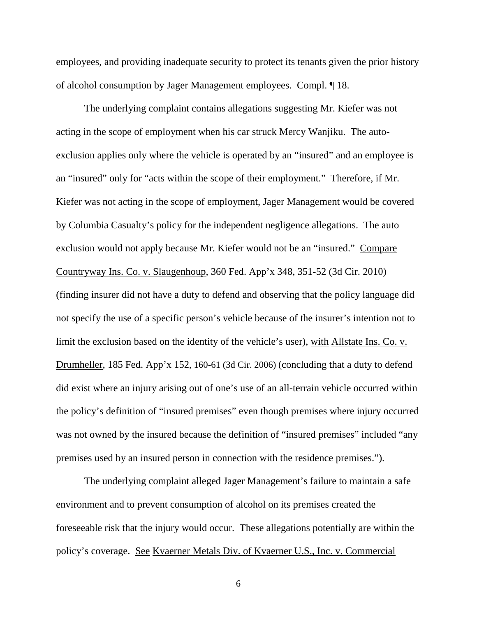employees, and providing inadequate security to protect its tenants given the prior history of alcohol consumption by Jager Management employees. Compl. ¶ 18.

The underlying complaint contains allegations suggesting Mr. Kiefer was not acting in the scope of employment when his car struck Mercy Wanjiku. The autoexclusion applies only where the vehicle is operated by an "insured" and an employee is an "insured" only for "acts within the scope of their employment." Therefore, if Mr. Kiefer was not acting in the scope of employment, Jager Management would be covered by Columbia Casualty's policy for the independent negligence allegations. The auto exclusion would not apply because Mr. Kiefer would not be an "insured." Compare Countryway Ins. Co. v. Slaugenhoup, 360 Fed. App'x 348, 351-52 (3d Cir. 2010) (finding insurer did not have a duty to defend and observing that the policy language did not specify the use of a specific person's vehicle because of the insurer's intention not to limit the exclusion based on the identity of the vehicle's user), with Allstate Ins. Co. v. Drumheller, 185 Fed. App'x 152, 160-61 (3d Cir. 2006) (concluding that a duty to defend did exist where an injury arising out of one's use of an all-terrain vehicle occurred within the policy's definition of "insured premises" even though premises where injury occurred was not owned by the insured because the definition of "insured premises" included "any premises used by an insured person in connection with the residence premises.").

The underlying complaint alleged Jager Management's failure to maintain a safe environment and to prevent consumption of alcohol on its premises created the foreseeable risk that the injury would occur. These allegations potentially are within the policy's coverage. See Kvaerner Metals Div. of Kvaerner U.S., Inc. v. Commercial

6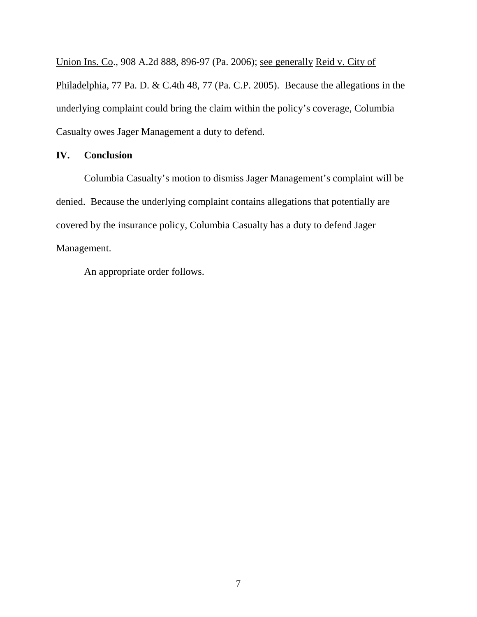Union Ins. Co., 908 A.2d 888, 896-97 (Pa. 2006); see generally Reid v. City of Philadelphia, 77 Pa. D. & C.4th 48, 77 (Pa. C.P. 2005). Because the allegations in the underlying complaint could bring the claim within the policy's coverage, Columbia Casualty owes Jager Management a duty to defend.

# **IV. Conclusion**

Columbia Casualty's motion to dismiss Jager Management's complaint will be denied. Because the underlying complaint contains allegations that potentially are covered by the insurance policy, Columbia Casualty has a duty to defend Jager Management.

An appropriate order follows.